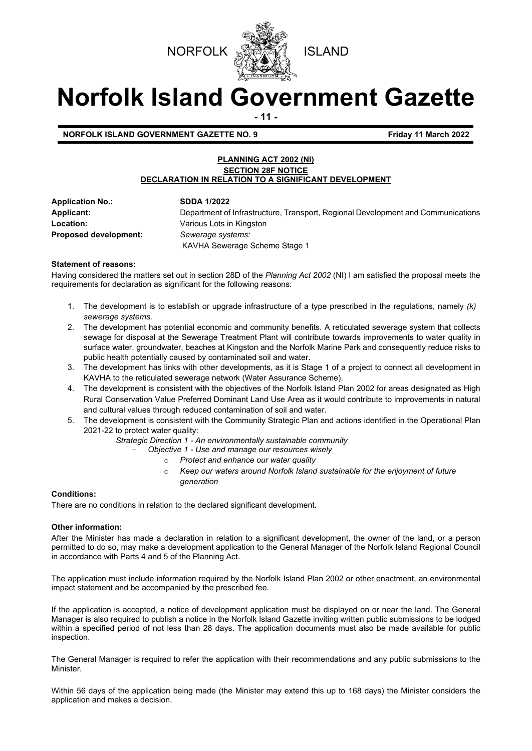



# **Norfolk Island Government Gazette**

**- 11 -**

**NORFOLK ISLAND GOVERNMENT GAZETTE NO. 9 Friday 11 March 2022**

## **PLANNING ACT 2002 (NI) SECTION 28F NOTICE DECLARATION IN RELATION TO A SIGNIFICANT DEVELOPMENT**

**Application No.: SDDA 1/2022 Location:** Various Lots in Kingston **Proposed development:** *Sewerage systems:*

**Applicant:** Department of Infrastructure, Transport, Regional Development and Communications KAVHA Sewerage Scheme Stage 1

# **Statement of reasons:**

Having considered the matters set out in section 28D of the *Planning Act 2002* (NI) I am satisfied the proposal meets the requirements for declaration as significant for the following reasons:

- 1. The development is to establish or upgrade infrastructure of a type prescribed in the regulations, namely *(k) sewerage systems.*
- 2. The development has potential economic and community benefits. A reticulated sewerage system that collects sewage for disposal at the Sewerage Treatment Plant will contribute towards improvements to water quality in surface water, groundwater, beaches at Kingston and the Norfolk Marine Park and consequently reduce risks to public health potentially caused by contaminated soil and water.
- 3. The development has links with other developments, as it is Stage 1 of a project to connect all development in KAVHA to the reticulated sewerage network (Water Assurance Scheme).
- 4. The development is consistent with the objectives of the Norfolk Island Plan 2002 for areas designated as High Rural Conservation Value Preferred Dominant Land Use Area as it would contribute to improvements in natural and cultural values through reduced contamination of soil and water.
- 5. The development is consistent with the Community Strategic Plan and actions identified in the Operational Plan 2021-22 to protect water quality:

*Strategic Direction 1 - An environmentally sustainable community* 

- *Objective 1 - Use and manage our resources wisely* 
	- o *Protect and enhance our water quality*
	- o *Keep our waters around Norfolk Island sustainable for the enjoyment of future generation*

# **Conditions:**

There are no conditions in relation to the declared significant development.

# **Other information:**

After the Minister has made a declaration in relation to a significant development, the owner of the land, or a person permitted to do so, may make a development application to the General Manager of the Norfolk Island Regional Council in accordance with Parts 4 and 5 of the Planning Act.

The application must include information required by the Norfolk Island Plan 2002 or other enactment, an environmental impact statement and be accompanied by the prescribed fee.

If the application is accepted, a notice of development application must be displayed on or near the land. The General Manager is also required to publish a notice in the Norfolk Island Gazette inviting written public submissions to be lodged within a specified period of not less than 28 days. The application documents must also be made available for public inspection.

The General Manager is required to refer the application with their recommendations and any public submissions to the Minister.

Within 56 days of the application being made (the Minister may extend this up to 168 days) the Minister considers the application and makes a decision.